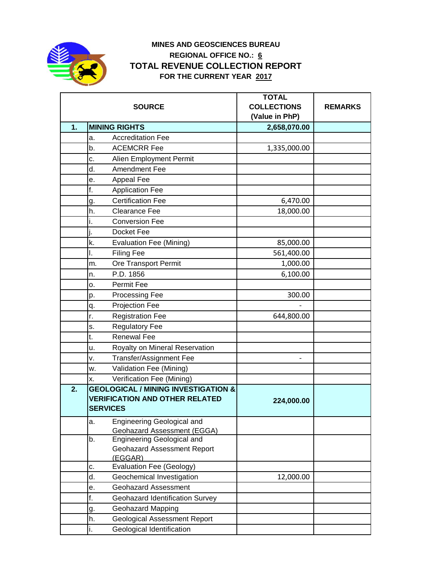

## **MINES AND GEOSCIENCES BUREAU REGIONAL OFFICE NO.: 6 TOTAL REVENUE COLLECTION REPORT FOR THE CURRENT YEAR 2017**

|    | <b>SOURCE</b>                                                                                              | <b>TOTAL</b><br><b>COLLECTIONS</b><br>(Value in PhP) | <b>REMARKS</b> |
|----|------------------------------------------------------------------------------------------------------------|------------------------------------------------------|----------------|
| 1. | <b>MINING RIGHTS</b>                                                                                       | 2,658,070.00                                         |                |
|    | <b>Accreditation Fee</b><br>a.                                                                             |                                                      |                |
|    | b.<br><b>ACEMCRR Fee</b>                                                                                   | 1,335,000.00                                         |                |
|    | c.<br>Alien Employment Permit                                                                              |                                                      |                |
|    | d.<br><b>Amendment Fee</b>                                                                                 |                                                      |                |
|    | Appeal Fee<br>е.                                                                                           |                                                      |                |
|    | f.<br><b>Application Fee</b>                                                                               |                                                      |                |
|    | <b>Certification Fee</b><br>g.                                                                             | 6,470.00                                             |                |
|    | h.<br><b>Clearance Fee</b>                                                                                 | 18,000.00                                            |                |
|    | <b>Conversion Fee</b><br>i.                                                                                |                                                      |                |
|    | Docket Fee                                                                                                 |                                                      |                |
|    | k.<br><b>Evaluation Fee (Mining)</b>                                                                       | 85,000.00                                            |                |
|    | <b>Filing Fee</b><br>I.                                                                                    | 561,400.00                                           |                |
|    | Ore Transport Permit<br>m.                                                                                 | 1,000.00                                             |                |
|    | P.D. 1856<br>n.                                                                                            | 6,100.00                                             |                |
|    | Permit Fee<br>о.                                                                                           |                                                      |                |
|    | Processing Fee<br>p.                                                                                       | 300.00                                               |                |
|    | Projection Fee<br>q.                                                                                       |                                                      |                |
|    | r.<br><b>Registration Fee</b>                                                                              | 644,800.00                                           |                |
|    | <b>Regulatory Fee</b><br>s.                                                                                |                                                      |                |
|    | <b>Renewal Fee</b><br>t.                                                                                   |                                                      |                |
|    | Royalty on Mineral Reservation<br>u.                                                                       |                                                      |                |
|    | <b>Transfer/Assignment Fee</b><br>v.                                                                       |                                                      |                |
|    | Validation Fee (Mining)<br>w.                                                                              |                                                      |                |
|    | Verification Fee (Mining)<br>x.                                                                            |                                                      |                |
| 2. | <b>GEOLOGICAL / MINING INVESTIGATION &amp;</b><br><b>VERIFICATION AND OTHER RELATED</b><br><b>SERVICES</b> | 224,000.00                                           |                |
|    | <b>Engineering Geological and</b><br>а.<br><b>Geohazard Assessment (EGGA)</b>                              |                                                      |                |
|    | <b>Engineering Geological and</b><br>b.<br>Geohazard Assessment Report<br>(EGGAR)                          |                                                      |                |
|    | Evaluation Fee (Geology)<br>c.                                                                             |                                                      |                |
|    | d.<br>Geochemical Investigation                                                                            | 12,000.00                                            |                |
|    | Geohazard Assessment<br>е.                                                                                 |                                                      |                |
|    | f.<br>Geohazard Identification Survey                                                                      |                                                      |                |
|    | <b>Geohazard Mapping</b><br>g.                                                                             |                                                      |                |
|    | <b>Geological Assessment Report</b><br>h.                                                                  |                                                      |                |
|    | Geological Identification<br>i.                                                                            |                                                      |                |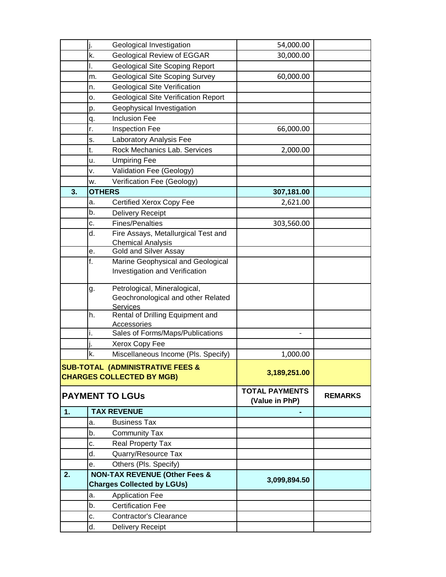|          | Geological Investigation                                                                    | 54,000.00                               |                |
|----------|---------------------------------------------------------------------------------------------|-----------------------------------------|----------------|
|          | Geological Review of EGGAR<br>k.                                                            | 30,000.00                               |                |
|          | <b>Geological Site Scoping Report</b><br>I.                                                 |                                         |                |
|          | <b>Geological Site Scoping Survey</b><br>m.                                                 | 60,000.00                               |                |
|          | <b>Geological Site Verification</b><br>n.                                                   |                                         |                |
|          | <b>Geological Site Verification Report</b><br>ο.                                            |                                         |                |
|          | Geophysical Investigation<br>p.                                                             |                                         |                |
|          | <b>Inclusion Fee</b><br>q.                                                                  |                                         |                |
|          | <b>Inspection Fee</b><br>r.                                                                 | 66,000.00                               |                |
|          | Laboratory Analysis Fee<br>s.                                                               |                                         |                |
|          | Rock Mechanics Lab. Services<br>t.                                                          | 2,000.00                                |                |
|          | <b>Umpiring Fee</b><br>u.                                                                   |                                         |                |
|          | Validation Fee (Geology)<br>۷.                                                              |                                         |                |
|          | Verification Fee (Geology)<br>w.                                                            |                                         |                |
| 3.       | <b>OTHERS</b>                                                                               | 307,181.00                              |                |
|          | <b>Certified Xerox Copy Fee</b><br>a.                                                       | 2,621.00                                |                |
|          | b.<br>Delivery Receipt                                                                      |                                         |                |
|          | <b>Fines/Penalties</b><br>c.                                                                | 303,560.00                              |                |
|          | Fire Assays, Metallurgical Test and<br>d.                                                   |                                         |                |
|          | <b>Chemical Analysis</b>                                                                    |                                         |                |
|          | <b>Gold and Silver Assay</b><br>е.                                                          |                                         |                |
|          | f.<br>Marine Geophysical and Geological<br>Investigation and Verification                   |                                         |                |
|          | Petrological, Mineralogical,<br>g.<br>Geochronological and other Related<br><b>Services</b> |                                         |                |
|          | Rental of Drilling Equipment and<br>h.<br>Accessories                                       |                                         |                |
|          |                                                                                             |                                         |                |
|          | Sales of Forms/Maps/Publications<br>i.                                                      |                                         |                |
|          | Xerox Copy Fee                                                                              |                                         |                |
|          | k.<br>Miscellaneous Income (Pls. Specify)                                                   | 1,000.00                                |                |
|          | SUB-TOTAL (ADMINISTRATIVE FEES &<br><b>CHARGES COLLECTED BY MGB)</b>                        | 3,189,251.00                            |                |
|          | <b>PAYMENT TO LGUS</b>                                                                      | <b>TOTAL PAYMENTS</b><br>(Value in PhP) | <b>REMARKS</b> |
|          | <b>TAX REVENUE</b>                                                                          |                                         |                |
|          | <b>Business Tax</b><br>a.                                                                   |                                         |                |
|          | b.<br><b>Community Tax</b>                                                                  |                                         |                |
|          | Real Property Tax<br>c.                                                                     |                                         |                |
|          | Quarry/Resource Tax<br>d.                                                                   |                                         |                |
|          | Others (Pls. Specify)<br>е.                                                                 |                                         |                |
|          | <b>NON-TAX REVENUE (Other Fees &amp;</b><br><b>Charges Collected by LGUs)</b>               | 3,099,894.50                            |                |
| 1.<br>2. | <b>Application Fee</b><br>a.                                                                |                                         |                |
|          | b.<br><b>Certification Fee</b>                                                              |                                         |                |
|          | <b>Contractor's Clearance</b><br>c.                                                         |                                         |                |